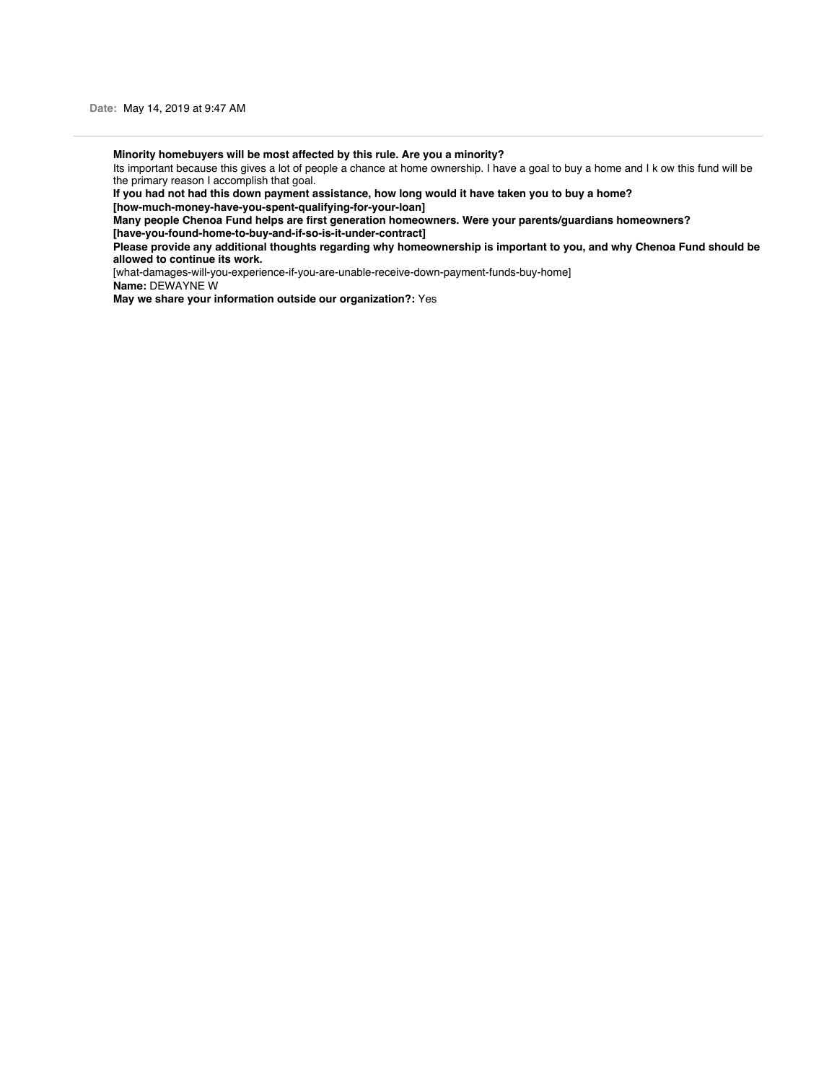**Minority homebuyers will be most affected by this rule. Are you a minority?**

Its important because this gives a lot of people a chance at home ownership. I have a goal to buy a home and I k ow this fund will be the primary reason I accomplish that goal.

**If you had not had this down payment assistance, how long would it have taken you to buy a home?**

**[how-much-money-have-you-spent-qualifying-for-your-loan]**

**Many people Chenoa Fund helps are first generation homeowners. Were your parents/guardians homeowners?**

**[have-you-found-home-to-buy-and-if-so-is-it-under-contract]**

**Please provide any additional thoughts regarding why homeownership is important to you, and why Chenoa Fund should be allowed to continue its work.**

[what-damages-will-you-experience-if-you-are-unable-receive-down-payment-funds-buy-home]

**Name:** DEWAYNE W

**May we share your information outside our organization?:** Yes